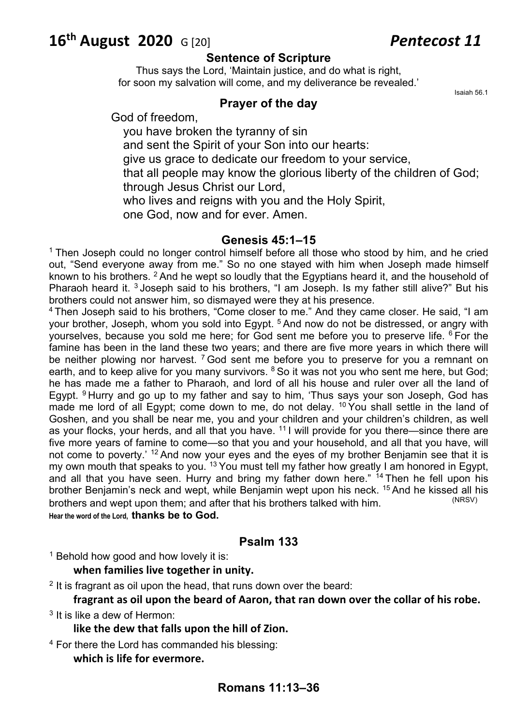# **16th August 2020** G [20] *Pentecost 11*

## **Sentence of Scripture**

Thus says the Lord, 'Maintain justice, and do what is right, for soon my salvation will come, and my deliverance be revealed.'

## **Prayer of the day**

Isaiah 56.1

God of freedom,

you have broken the tyranny of sin and sent the Spirit of your Son into our hearts:

give us grace to dedicate our freedom to your service,

that all people may know the glorious liberty of the children of God; through Jesus Christ our Lord,

who lives and reigns with you and the Holy Spirit,

one God, now and for ever. Amen.

# **Genesis 45:1–15**

 $1$  Then Joseph could no longer control himself before all those who stood by him, and he cried out, "Send everyone away from me." So no one stayed with him when Joseph made himself known to his brothers. <sup>2</sup> And he wept so loudly that the Egyptians heard it, and the household of Pharaoh heard it. <sup>3</sup> Joseph said to his brothers, "I am Joseph. Is my father still alive?" But his brothers could not answer him, so dismayed were they at his presence.<br><sup>4</sup> Then Joseph said to his brothers, "Come closer to me." And they came closer. He said, "I am

your brother, Joseph, whom you sold into Egypt.<sup>5</sup> And now do not be distressed, or angry with yourselves, because you sold me here; for God sent me before you to preserve life. <sup>6</sup> For the famine has been in the land these two years; and there are five more years in which there will be neither plowing nor harvest.  $7$  God sent me before you to preserve for you a remnant on earth, and to keep alive for you many survivors.  $8$  So it was not you who sent me here, but God; he has made me a father to Pharaoh, and lord of all his house and ruler over all the land of Egypt. <sup>9</sup> Hurry and go up to my father and say to him, 'Thus says your son Joseph, God has made me lord of all Egypt; come down to me, do not delay.  $10$  You shall settle in the land of Goshen, and you shall be near me, you and your children and your children's children, as well as your flocks, your herds, and all that you have. 11 I will provide for you there—since there are five more years of famine to come—so that you and your household, and all that you have, will not come to poverty.' <sup>12</sup> And now your eyes and the eyes of my brother Benjamin see that it is my own mouth that speaks to you.<sup>13</sup> You must tell my father how greatly I am honored in Egypt, and all that you have seen. Hurry and bring my father down here." <sup>14</sup> Then he fell upon his brother Benjamin's neck and wept, while Benjamin wept upon his neck. <sup>15</sup> And he kissed all his brothers and went upon them: and after that his brothers talked with him brothers and wept upon them; and after that his brothers talked with him. **Hear the word of the Lord, thanks be to God.**

# **Psalm 133**

<sup>1</sup> Behold how good and how lovely it is:

# **when families live together in unity.**

 $2$  It is fragrant as oil upon the head, that runs down over the beard:

**fragrant as oil upon the beard of Aaron, that ran down over the collar of his robe.** <sup>3</sup> It is like a dew of Hermon:

**like the dew that falls upon the hill of Zion.**

<sup>4</sup> For there the Lord has commanded his blessing:

**which is life for evermore.**